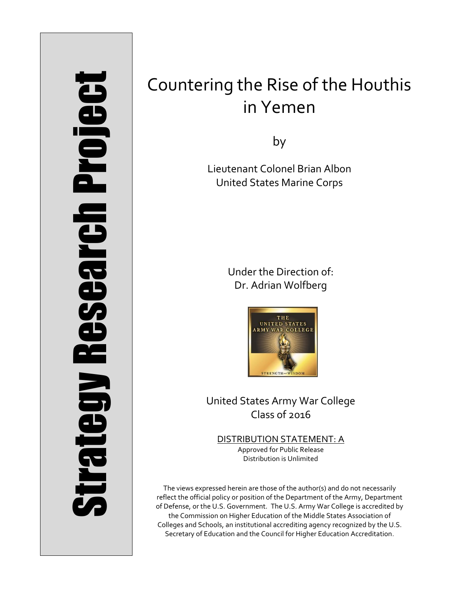# Strategy Research Project **Strategy Research Project**

# Countering the Rise of the Houthis in Yemen

by

Lieutenant Colonel Brian Albon United States Marine Corps

> Under the Direction of: Dr. Adrian Wolfberg



United States Army War College Class of 2016

DISTRIBUTION STATEMENT: A Approved for Public Release Distribution is Unlimited

The views expressed herein are those of the author(s) and do not necessarily reflect the official policy or position of the Department of the Army, Department of Defense, or the U.S. Government. The U.S. Army War College is accredited by the Commission on Higher Education of the Middle States Association of Colleges and Schools, an institutional accrediting agency recognized by the U.S. Secretary of Education and the Council for Higher Education Accreditation.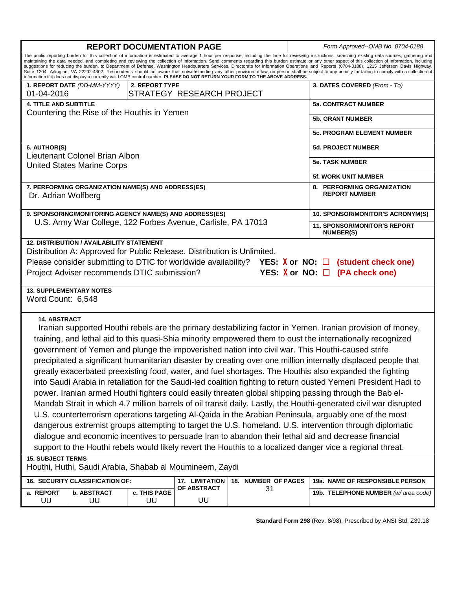| <b>REPORT DOCUMENTATION PAGE</b>                                                                                                                                                                                                                                                                                                                                                                                                                                                                                                                                                                                                                                                                                                                                                                                                                                                                                                                                                                                                                                                                                                                                                                                                                                                                                                                                              |                                               |                    |                           |    |                     | Form Approved--OMB No. 0704-0188                 |  |
|-------------------------------------------------------------------------------------------------------------------------------------------------------------------------------------------------------------------------------------------------------------------------------------------------------------------------------------------------------------------------------------------------------------------------------------------------------------------------------------------------------------------------------------------------------------------------------------------------------------------------------------------------------------------------------------------------------------------------------------------------------------------------------------------------------------------------------------------------------------------------------------------------------------------------------------------------------------------------------------------------------------------------------------------------------------------------------------------------------------------------------------------------------------------------------------------------------------------------------------------------------------------------------------------------------------------------------------------------------------------------------|-----------------------------------------------|--------------------|---------------------------|----|---------------------|--------------------------------------------------|--|
| The public reporting burden for this collection of information is estimated to average 1 hour per response, including the time for reviewing instructions, searching existing data sources, gathering and<br>maintaining the data needed, and completing and reviewing the collection of information. Send comments regarding this burden estimate or any other aspect of this collection of information, including<br>suggestions for reducing the burden, to Department of Defense, Washington Headquarters Services, Directorate for Information Operations and Reports (0704-0188), 1215 Jefferson Davis Highway,<br>Suite 1204, Arlington, VA 22202-4302. Respondents should be aware that notwithstanding any other provision of law, no person shall be subject to any penalty for failing to comply with a collection of<br>information if it does not display a currently valid OMB control number. PLEASE DO NOT RETURN YOUR FORM TO THE ABOVE ADDRESS.                                                                                                                                                                                                                                                                                                                                                                                                             |                                               |                    |                           |    |                     |                                                  |  |
|                                                                                                                                                                                                                                                                                                                                                                                                                                                                                                                                                                                                                                                                                                                                                                                                                                                                                                                                                                                                                                                                                                                                                                                                                                                                                                                                                                               | 1. REPORT DATE (DD-MM-YYYY)<br>2. REPORT TYPE |                    |                           |    |                     | 3. DATES COVERED (From - To)                     |  |
| 01-04-2016                                                                                                                                                                                                                                                                                                                                                                                                                                                                                                                                                                                                                                                                                                                                                                                                                                                                                                                                                                                                                                                                                                                                                                                                                                                                                                                                                                    |                                               |                    | STRATEGY RESEARCH PROJECT |    |                     |                                                  |  |
| <b>4. TITLE AND SUBTITLE</b>                                                                                                                                                                                                                                                                                                                                                                                                                                                                                                                                                                                                                                                                                                                                                                                                                                                                                                                                                                                                                                                                                                                                                                                                                                                                                                                                                  |                                               |                    |                           |    |                     | <b>5a. CONTRACT NUMBER</b>                       |  |
| Countering the Rise of the Houthis in Yemen                                                                                                                                                                                                                                                                                                                                                                                                                                                                                                                                                                                                                                                                                                                                                                                                                                                                                                                                                                                                                                                                                                                                                                                                                                                                                                                                   |                                               |                    |                           |    |                     | <b>5b. GRANT NUMBER</b>                          |  |
|                                                                                                                                                                                                                                                                                                                                                                                                                                                                                                                                                                                                                                                                                                                                                                                                                                                                                                                                                                                                                                                                                                                                                                                                                                                                                                                                                                               |                                               |                    |                           |    |                     | 5c. PROGRAM ELEMENT NUMBER                       |  |
| 6. AUTHOR(S)                                                                                                                                                                                                                                                                                                                                                                                                                                                                                                                                                                                                                                                                                                                                                                                                                                                                                                                                                                                                                                                                                                                                                                                                                                                                                                                                                                  |                                               |                    |                           |    |                     | <b>5d. PROJECT NUMBER</b>                        |  |
| Lieutenant Colonel Brian Albon                                                                                                                                                                                                                                                                                                                                                                                                                                                                                                                                                                                                                                                                                                                                                                                                                                                                                                                                                                                                                                                                                                                                                                                                                                                                                                                                                |                                               |                    |                           |    |                     | <b>5e. TASK NUMBER</b>                           |  |
| <b>United States Marine Corps</b>                                                                                                                                                                                                                                                                                                                                                                                                                                                                                                                                                                                                                                                                                                                                                                                                                                                                                                                                                                                                                                                                                                                                                                                                                                                                                                                                             |                                               |                    |                           |    |                     | <b>5f. WORK UNIT NUMBER</b>                      |  |
|                                                                                                                                                                                                                                                                                                                                                                                                                                                                                                                                                                                                                                                                                                                                                                                                                                                                                                                                                                                                                                                                                                                                                                                                                                                                                                                                                                               |                                               |                    |                           |    |                     | 8. PERFORMING ORGANIZATION                       |  |
| 7. PERFORMING ORGANIZATION NAME(S) AND ADDRESS(ES)<br>Dr. Adrian Wolfberg                                                                                                                                                                                                                                                                                                                                                                                                                                                                                                                                                                                                                                                                                                                                                                                                                                                                                                                                                                                                                                                                                                                                                                                                                                                                                                     |                                               |                    |                           |    |                     | <b>REPORT NUMBER</b>                             |  |
| 9. SPONSORING/MONITORING AGENCY NAME(S) AND ADDRESS(ES)<br>U.S. Army War College, 122 Forbes Avenue, Carlisle, PA 17013                                                                                                                                                                                                                                                                                                                                                                                                                                                                                                                                                                                                                                                                                                                                                                                                                                                                                                                                                                                                                                                                                                                                                                                                                                                       |                                               |                    |                           |    |                     | 10. SPONSOR/MONITOR'S ACRONYM(S)                 |  |
|                                                                                                                                                                                                                                                                                                                                                                                                                                                                                                                                                                                                                                                                                                                                                                                                                                                                                                                                                                                                                                                                                                                                                                                                                                                                                                                                                                               |                                               |                    |                           |    |                     | 11. SPONSOR/MONITOR'S REPORT<br><b>NUMBER(S)</b> |  |
| <b>12. DISTRIBUTION / AVAILABILITY STATEMENT</b><br>Distribution A: Approved for Public Release. Distribution is Unlimited.<br>Please consider submitting to DTIC for worldwide availability? YES: $X$ or NO: $\Box$ (student check one)<br>Project Adviser recommends DTIC submission?<br>YES: $X$ or NO: $\Box$ (PA check one)                                                                                                                                                                                                                                                                                                                                                                                                                                                                                                                                                                                                                                                                                                                                                                                                                                                                                                                                                                                                                                              |                                               |                    |                           |    |                     |                                                  |  |
| <b>13. SUPPLEMENTARY NOTES</b><br>Word Count: 6,548                                                                                                                                                                                                                                                                                                                                                                                                                                                                                                                                                                                                                                                                                                                                                                                                                                                                                                                                                                                                                                                                                                                                                                                                                                                                                                                           |                                               |                    |                           |    |                     |                                                  |  |
| <b>14. ABSTRACT</b><br>Iranian supported Houthi rebels are the primary destabilizing factor in Yemen. Iranian provision of money,<br>training, and lethal aid to this quasi-Shia minority empowered them to oust the internationally recognized<br>government of Yemen and plunge the impoverished nation into civil war. This Houthi-caused strife<br>precipitated a significant humanitarian disaster by creating over one million internally displaced people that<br>greatly exacerbated preexisting food, water, and fuel shortages. The Houthis also expanded the fighting<br>into Saudi Arabia in retaliation for the Saudi-led coalition fighting to return ousted Yemeni President Hadi to<br>power. Iranian armed Houthi fighters could easily threaten global shipping passing through the Bab el-<br>Mandab Strait in which 4.7 million barrels of oil transit daily. Lastly, the Houthi-generated civil war disrupted<br>U.S. counterterrorism operations targeting Al-Qaida in the Arabian Peninsula, arguably one of the most<br>dangerous extremist groups attempting to target the U.S. homeland. U.S. intervention through diplomatic<br>dialogue and economic incentives to persuade Iran to abandon their lethal aid and decrease financial<br>support to the Houthi rebels would likely revert the Houthis to a localized danger vice a regional threat. |                                               |                    |                           |    |                     |                                                  |  |
| <b>15. SUBJECT TERMS</b><br>Houthi, Huthi, Saudi Arabia, Shabab al Moumineem, Zaydi                                                                                                                                                                                                                                                                                                                                                                                                                                                                                                                                                                                                                                                                                                                                                                                                                                                                                                                                                                                                                                                                                                                                                                                                                                                                                           |                                               |                    |                           |    |                     |                                                  |  |
| 16. SECURITY CLASSIFICATION OF:                                                                                                                                                                                                                                                                                                                                                                                                                                                                                                                                                                                                                                                                                                                                                                                                                                                                                                                                                                                                                                                                                                                                                                                                                                                                                                                                               |                                               |                    | 17. LIMITATION            |    | 18. NUMBER OF PAGES | 19a. NAME OF RESPONSIBLE PERSON                  |  |
| a. REPORT<br>UU                                                                                                                                                                                                                                                                                                                                                                                                                                                                                                                                                                                                                                                                                                                                                                                                                                                                                                                                                                                                                                                                                                                                                                                                                                                                                                                                                               | <b>b. ABSTRACT</b><br>UU                      | c. THIS PAGE<br>UU | OF ABSTRACT<br>UU         | 31 |                     | 19b. TELEPHONE NUMBER (w/area code)              |  |

**Standard Form 298** (Rev. 8/98), Prescribed by ANSI Std. Z39.18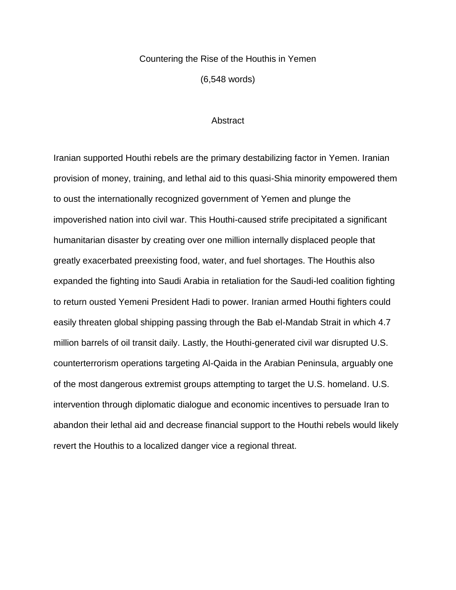### Countering the Rise of the Houthis in Yemen

(6,548 words)

### **Abstract**

Iranian supported Houthi rebels are the primary destabilizing factor in Yemen. Iranian provision of money, training, and lethal aid to this quasi-Shia minority empowered them to oust the internationally recognized government of Yemen and plunge the impoverished nation into civil war. This Houthi-caused strife precipitated a significant humanitarian disaster by creating over one million internally displaced people that greatly exacerbated preexisting food, water, and fuel shortages. The Houthis also expanded the fighting into Saudi Arabia in retaliation for the Saudi-led coalition fighting to return ousted Yemeni President Hadi to power. Iranian armed Houthi fighters could easily threaten global shipping passing through the Bab el-Mandab Strait in which 4.7 million barrels of oil transit daily. Lastly, the Houthi-generated civil war disrupted U.S. counterterrorism operations targeting Al-Qaida in the Arabian Peninsula, arguably one of the most dangerous extremist groups attempting to target the U.S. homeland. U.S. intervention through diplomatic dialogue and economic incentives to persuade Iran to abandon their lethal aid and decrease financial support to the Houthi rebels would likely revert the Houthis to a localized danger vice a regional threat.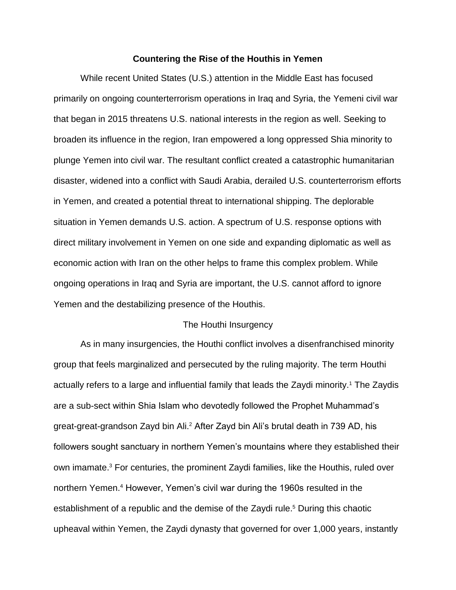### **Countering the Rise of the Houthis in Yemen**

While recent United States (U.S.) attention in the Middle East has focused primarily on ongoing counterterrorism operations in Iraq and Syria, the Yemeni civil war that began in 2015 threatens U.S. national interests in the region as well. Seeking to broaden its influence in the region, Iran empowered a long oppressed Shia minority to plunge Yemen into civil war. The resultant conflict created a catastrophic humanitarian disaster, widened into a conflict with Saudi Arabia, derailed U.S. counterterrorism efforts in Yemen, and created a potential threat to international shipping. The deplorable situation in Yemen demands U.S. action. A spectrum of U.S. response options with direct military involvement in Yemen on one side and expanding diplomatic as well as economic action with Iran on the other helps to frame this complex problem. While ongoing operations in Iraq and Syria are important, the U.S. cannot afford to ignore Yemen and the destabilizing presence of the Houthis.

### The Houthi Insurgency

As in many insurgencies, the Houthi conflict involves a disenfranchised minority group that feels marginalized and persecuted by the ruling majority. The term Houthi actually refers to a large and influential family that leads the Zaydi minority.<sup>1</sup> The Zaydis are a sub-sect within Shia Islam who devotedly followed the Prophet Muhammad's great-great-grandson Zayd bin Ali.<sup>2</sup> After Zayd bin Ali's brutal death in 739 AD, his followers sought sanctuary in northern Yemen's mountains where they established their own imamate.<sup>3</sup> For centuries, the prominent Zaydi families, like the Houthis, ruled over northern Yemen.<sup>4</sup> However, Yemen's civil war during the 1960s resulted in the establishment of a republic and the demise of the Zaydi rule. <sup>5</sup> During this chaotic upheaval within Yemen, the Zaydi dynasty that governed for over 1,000 years, instantly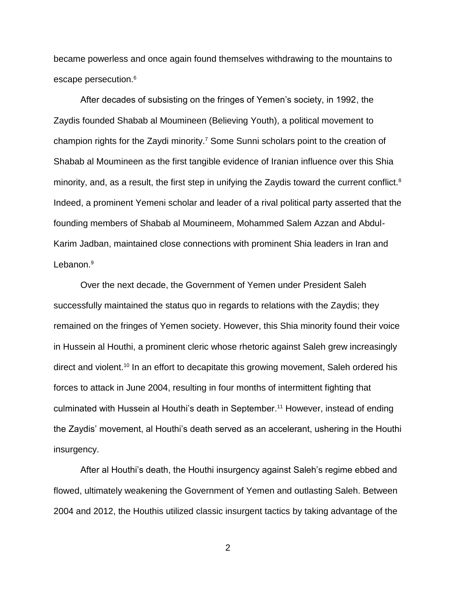became powerless and once again found themselves withdrawing to the mountains to escape persecution.<sup>6</sup>

After decades of subsisting on the fringes of Yemen's society, in 1992, the Zaydis founded Shabab al Moumineen (Believing Youth), a political movement to champion rights for the Zaydi minority.<sup>7</sup> Some Sunni scholars point to the creation of Shabab al Moumineen as the first tangible evidence of Iranian influence over this Shia minority, and, as a result, the first step in unifying the Zaydis toward the current conflict.<sup>8</sup> Indeed, a prominent Yemeni scholar and leader of a rival political party asserted that the founding members of Shabab al Moumineem, Mohammed Salem Azzan and Abdul-Karim Jadban, maintained close connections with prominent Shia leaders in Iran and Lebanon.<sup>9</sup>

Over the next decade, the Government of Yemen under President Saleh successfully maintained the status quo in regards to relations with the Zaydis; they remained on the fringes of Yemen society. However, this Shia minority found their voice in Hussein al Houthi, a prominent cleric whose rhetoric against Saleh grew increasingly direct and violent.<sup>10</sup> In an effort to decapitate this growing movement, Saleh ordered his forces to attack in June 2004, resulting in four months of intermittent fighting that culminated with Hussein al Houthi's death in September.<sup>11</sup> However, instead of ending the Zaydis' movement, al Houthi's death served as an accelerant, ushering in the Houthi insurgency.

After al Houthi's death, the Houthi insurgency against Saleh's regime ebbed and flowed, ultimately weakening the Government of Yemen and outlasting Saleh. Between 2004 and 2012, the Houthis utilized classic insurgent tactics by taking advantage of the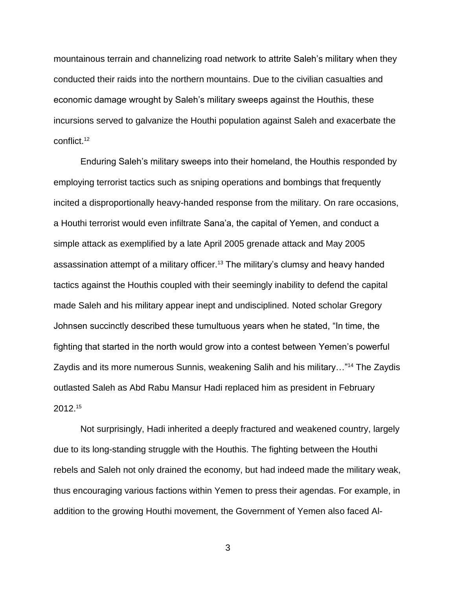mountainous terrain and channelizing road network to attrite Saleh's military when they conducted their raids into the northern mountains. Due to the civilian casualties and economic damage wrought by Saleh's military sweeps against the Houthis, these incursions served to galvanize the Houthi population against Saleh and exacerbate the conflict.<sup>12</sup>

Enduring Saleh's military sweeps into their homeland, the Houthis responded by employing terrorist tactics such as sniping operations and bombings that frequently incited a disproportionally heavy-handed response from the military. On rare occasions, a Houthi terrorist would even infiltrate Sana'a, the capital of Yemen, and conduct a simple attack as exemplified by a late April 2005 grenade attack and May 2005 assassination attempt of a military officer.<sup>13</sup> The military's clumsy and heavy handed tactics against the Houthis coupled with their seemingly inability to defend the capital made Saleh and his military appear inept and undisciplined. Noted scholar Gregory Johnsen succinctly described these tumultuous years when he stated, "In time, the fighting that started in the north would grow into a contest between Yemen's powerful Zaydis and its more numerous Sunnis, weakening Salih and his military…"<sup>14</sup> The Zaydis outlasted Saleh as Abd Rabu Mansur Hadi replaced him as president in February 2012.<sup>15</sup>

Not surprisingly, Hadi inherited a deeply fractured and weakened country, largely due to its long-standing struggle with the Houthis. The fighting between the Houthi rebels and Saleh not only drained the economy, but had indeed made the military weak, thus encouraging various factions within Yemen to press their agendas. For example, in addition to the growing Houthi movement, the Government of Yemen also faced Al-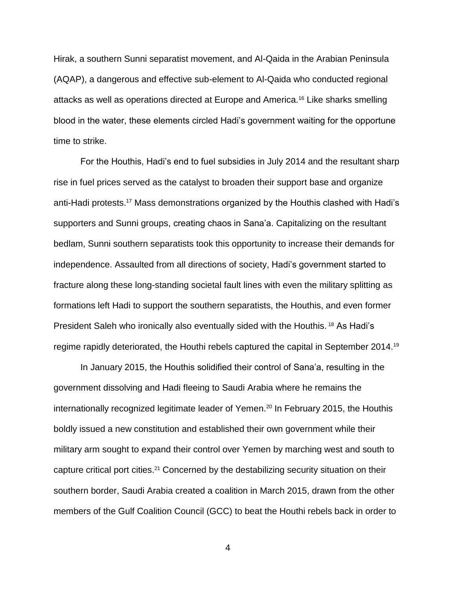Hirak, a southern Sunni separatist movement, and Al-Qaida in the Arabian Peninsula (AQAP), a dangerous and effective sub-element to Al-Qaida who conducted regional attacks as well as operations directed at Europe and America.<sup>16</sup> Like sharks smelling blood in the water, these elements circled Hadi's government waiting for the opportune time to strike.

For the Houthis, Hadi's end to fuel subsidies in July 2014 and the resultant sharp rise in fuel prices served as the catalyst to broaden their support base and organize anti-Hadi protests. <sup>17</sup> Mass demonstrations organized by the Houthis clashed with Hadi's supporters and Sunni groups, creating chaos in Sana'a. Capitalizing on the resultant bedlam, Sunni southern separatists took this opportunity to increase their demands for independence. Assaulted from all directions of society, Hadi's government started to fracture along these long-standing societal fault lines with even the military splitting as formations left Hadi to support the southern separatists, the Houthis, and even former President Saleh who ironically also eventually sided with the Houthis.<sup>18</sup> As Hadi's regime rapidly deteriorated, the Houthi rebels captured the capital in September 2014.<sup>19</sup>

In January 2015, the Houthis solidified their control of Sana'a, resulting in the government dissolving and Hadi fleeing to Saudi Arabia where he remains the internationally recognized legitimate leader of Yemen.<sup>20</sup> In February 2015, the Houthis boldly issued a new constitution and established their own government while their military arm sought to expand their control over Yemen by marching west and south to capture critical port cities.<sup>21</sup> Concerned by the destabilizing security situation on their southern border, Saudi Arabia created a coalition in March 2015, drawn from the other members of the Gulf Coalition Council (GCC) to beat the Houthi rebels back in order to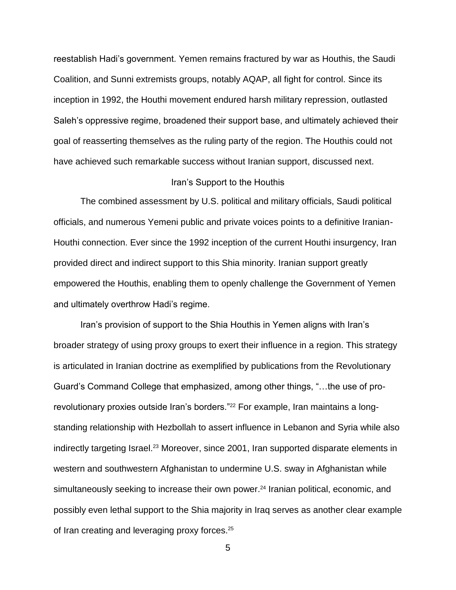reestablish Hadi's government. Yemen remains fractured by war as Houthis, the Saudi Coalition, and Sunni extremists groups, notably AQAP, all fight for control. Since its inception in 1992, the Houthi movement endured harsh military repression, outlasted Saleh's oppressive regime, broadened their support base, and ultimately achieved their goal of reasserting themselves as the ruling party of the region. The Houthis could not have achieved such remarkable success without Iranian support, discussed next.

### Iran's Support to the Houthis

The combined assessment by U.S. political and military officials, Saudi political officials, and numerous Yemeni public and private voices points to a definitive Iranian-Houthi connection. Ever since the 1992 inception of the current Houthi insurgency, Iran provided direct and indirect support to this Shia minority. Iranian support greatly empowered the Houthis, enabling them to openly challenge the Government of Yemen and ultimately overthrow Hadi's regime.

Iran's provision of support to the Shia Houthis in Yemen aligns with Iran's broader strategy of using proxy groups to exert their influence in a region. This strategy is articulated in Iranian doctrine as exemplified by publications from the Revolutionary Guard's Command College that emphasized, among other things, "…the use of prorevolutionary proxies outside Iran's borders."<sup>22</sup> For example, Iran maintains a longstanding relationship with Hezbollah to assert influence in Lebanon and Syria while also indirectly targeting Israel.<sup>23</sup> Moreover, since 2001, Iran supported disparate elements in western and southwestern Afghanistan to undermine U.S. sway in Afghanistan while simultaneously seeking to increase their own power.<sup>24</sup> Iranian political, economic, and possibly even lethal support to the Shia majority in Iraq serves as another clear example of Iran creating and leveraging proxy forces.<sup>25</sup>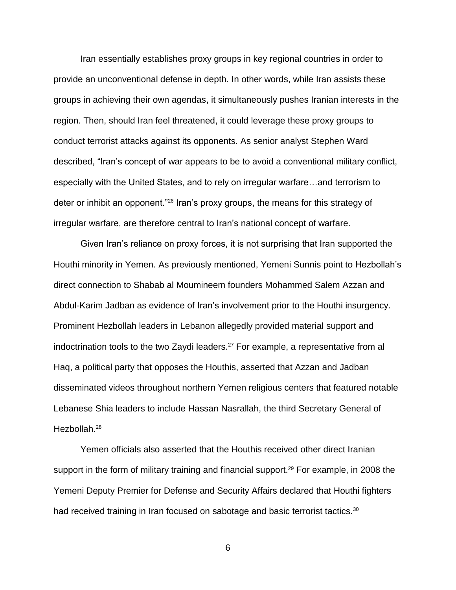Iran essentially establishes proxy groups in key regional countries in order to provide an unconventional defense in depth. In other words, while Iran assists these groups in achieving their own agendas, it simultaneously pushes Iranian interests in the region. Then, should Iran feel threatened, it could leverage these proxy groups to conduct terrorist attacks against its opponents. As senior analyst Stephen Ward described, "Iran's concept of war appears to be to avoid a conventional military conflict, especially with the United States, and to rely on irregular warfare…and terrorism to deter or inhibit an opponent."<sup>26</sup> Iran's proxy groups, the means for this strategy of irregular warfare, are therefore central to Iran's national concept of warfare.

Given Iran's reliance on proxy forces, it is not surprising that Iran supported the Houthi minority in Yemen. As previously mentioned, Yemeni Sunnis point to Hezbollah's direct connection to Shabab al Moumineem founders Mohammed Salem Azzan and Abdul-Karim Jadban as evidence of Iran's involvement prior to the Houthi insurgency. Prominent Hezbollah leaders in Lebanon allegedly provided material support and indoctrination tools to the two Zaydi leaders.<sup>27</sup> For example, a representative from al Haq, a political party that opposes the Houthis, asserted that Azzan and Jadban disseminated videos throughout northern Yemen religious centers that featured notable Lebanese Shia leaders to include Hassan Nasrallah, the third Secretary General of Hezbollah.<sup>28</sup>

Yemen officials also asserted that the Houthis received other direct Iranian support in the form of military training and financial support.<sup>29</sup> For example, in 2008 the Yemeni Deputy Premier for Defense and Security Affairs declared that Houthi fighters had received training in Iran focused on sabotage and basic terrorist tactics.<sup>30</sup>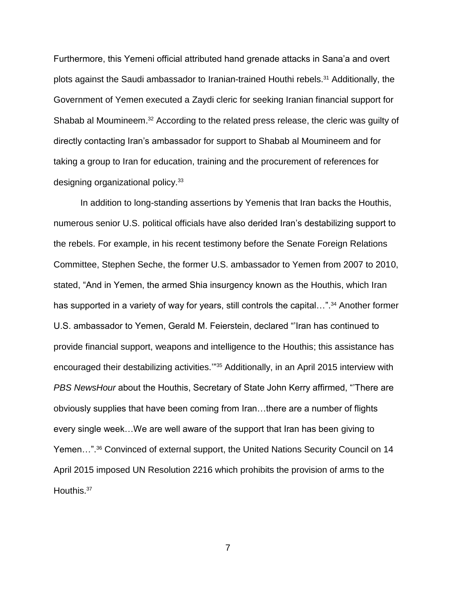Furthermore, this Yemeni official attributed hand grenade attacks in Sana'a and overt plots against the Saudi ambassador to Iranian-trained Houthi rebels.<sup>31</sup> Additionally, the Government of Yemen executed a Zaydi cleric for seeking Iranian financial support for Shabab al Moumineem.<sup>32</sup> According to the related press release, the cleric was guilty of directly contacting Iran's ambassador for support to Shabab al Moumineem and for taking a group to Iran for education, training and the procurement of references for designing organizational policy.<sup>33</sup>

In addition to long-standing assertions by Yemenis that Iran backs the Houthis, numerous senior U.S. political officials have also derided Iran's destabilizing support to the rebels. For example, in his recent testimony before the Senate Foreign Relations Committee, Stephen Seche, the former U.S. ambassador to Yemen from 2007 to 2010, stated, "And in Yemen, the armed Shia insurgency known as the Houthis, which Iran has supported in a variety of way for years, still controls the capital...".<sup>34</sup> Another former U.S. ambassador to Yemen, Gerald M. Feierstein, declared "'Iran has continued to provide financial support, weapons and intelligence to the Houthis; this assistance has encouraged their destabilizing activities."<sup>35</sup> Additionally, in an April 2015 interview with *PBS NewsHour* about the Houthis, Secretary of State John Kerry affirmed, "'There are obviously supplies that have been coming from Iran…there are a number of flights every single week…We are well aware of the support that Iran has been giving to Yemen…". <sup>36</sup> Convinced of external support, the United Nations Security Council on 14 April 2015 imposed UN Resolution 2216 which prohibits the provision of arms to the Houthis.<sup>37</sup>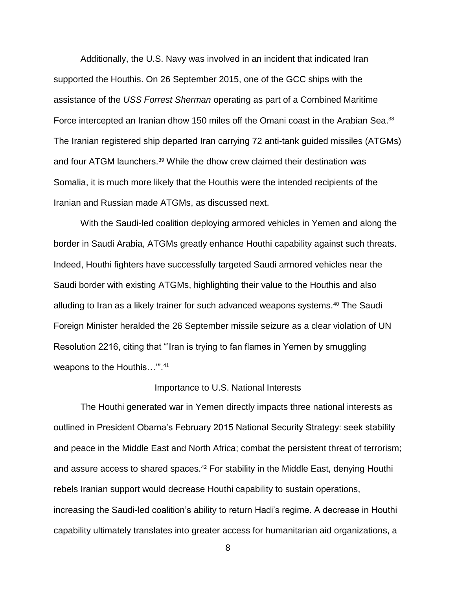Additionally, the U.S. Navy was involved in an incident that indicated Iran supported the Houthis. On 26 September 2015, one of the GCC ships with the assistance of the *USS Forrest Sherman* operating as part of a Combined Maritime Force intercepted an Iranian dhow 150 miles off the Omani coast in the Arabian Sea.<sup>38</sup> The Iranian registered ship departed Iran carrying 72 anti-tank guided missiles (ATGMs) and four ATGM launchers. <sup>39</sup> While the dhow crew claimed their destination was Somalia, it is much more likely that the Houthis were the intended recipients of the Iranian and Russian made ATGMs, as discussed next.

With the Saudi-led coalition deploying armored vehicles in Yemen and along the border in Saudi Arabia, ATGMs greatly enhance Houthi capability against such threats. Indeed, Houthi fighters have successfully targeted Saudi armored vehicles near the Saudi border with existing ATGMs, highlighting their value to the Houthis and also alluding to Iran as a likely trainer for such advanced weapons systems.<sup>40</sup> The Saudi Foreign Minister heralded the 26 September missile seizure as a clear violation of UN Resolution 2216, citing that "'Iran is trying to fan flames in Yemen by smuggling weapons to the Houthis…'".<sup>41</sup>

### Importance to U.S. National Interests

The Houthi generated war in Yemen directly impacts three national interests as outlined in President Obama's February 2015 National Security Strategy: seek stability and peace in the Middle East and North Africa; combat the persistent threat of terrorism; and assure access to shared spaces.<sup>42</sup> For stability in the Middle East, denying Houthi rebels Iranian support would decrease Houthi capability to sustain operations, increasing the Saudi-led coalition's ability to return Hadi's regime. A decrease in Houthi capability ultimately translates into greater access for humanitarian aid organizations, a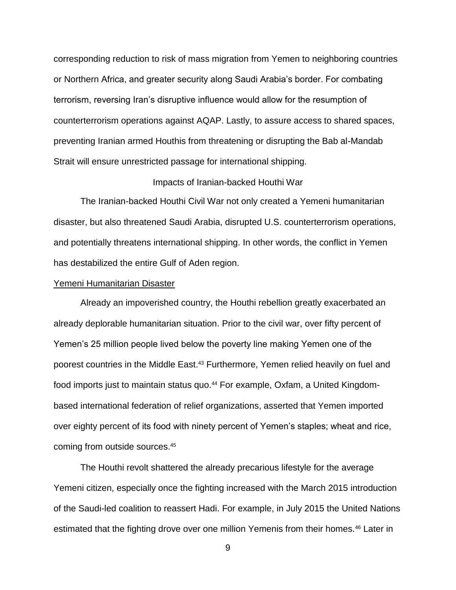corresponding reduction to risk of mass migration from Yemen to neighboring countries or Northern Africa, and greater security along Saudi Arabia's border. For combating terrorism, reversing Iran's disruptive influence would allow for the resumption of counterterrorism operations against AQAP. Lastly, to assure access to shared spaces, preventing Iranian armed Houthis from threatening or disrupting the Bab al-Mandab Strait will ensure unrestricted passage for international shipping.

# Impacts of Iranian-backed Houthi War

The Iranian-backed Houthi Civil War not only created a Yemeni humanitarian disaster, but also threatened Saudi Arabia, disrupted U.S. counterterrorism operations, and potentially threatens international shipping. In other words, the conflict in Yemen has destabilized the entire Gulf of Aden region.

### Yemeni Humanitarian Disaster

Already an impoverished country, the Houthi rebellion greatly exacerbated an already deplorable humanitarian situation. Prior to the civil war, over fifty percent of Yemen's 25 million people lived below the poverty line making Yemen one of the poorest countries in the Middle East.<sup>43</sup> Furthermore, Yemen relied heavily on fuel and food imports just to maintain status quo.<sup>44</sup> For example, Oxfam, a United Kingdombased international federation of relief organizations, asserted that Yemen imported over eighty percent of its food with ninety percent of Yemen's staples; wheat and rice, coming from outside sources.<sup>45</sup>

The Houthi revolt shattered the already precarious lifestyle for the average Yemeni citizen, especially once the fighting increased with the March 2015 introduction of the Saudi-led coalition to reassert Hadi. For example, in July 2015 the United Nations estimated that the fighting drove over one million Yemenis from their homes.<sup>46</sup> Later in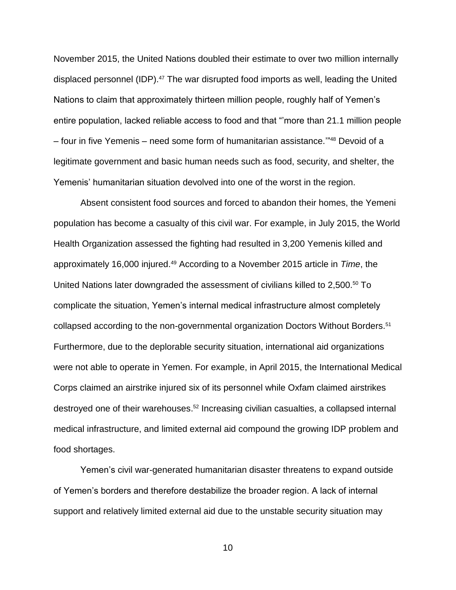November 2015, the United Nations doubled their estimate to over two million internally displaced personnel (IDP). <sup>47</sup> The war disrupted food imports as well, leading the United Nations to claim that approximately thirteen million people, roughly half of Yemen's entire population, lacked reliable access to food and that "'more than 21.1 million people – four in five Yemenis – need some form of humanitarian assistance.'" <sup>48</sup> Devoid of a legitimate government and basic human needs such as food, security, and shelter, the Yemenis' humanitarian situation devolved into one of the worst in the region.

Absent consistent food sources and forced to abandon their homes, the Yemeni population has become a casualty of this civil war. For example, in July 2015, the World Health Organization assessed the fighting had resulted in 3,200 Yemenis killed and approximately 16,000 injured.<sup>49</sup> According to a November 2015 article in *Time*, the United Nations later downgraded the assessment of civilians killed to 2,500.<sup>50</sup> To complicate the situation, Yemen's internal medical infrastructure almost completely collapsed according to the non-governmental organization Doctors Without Borders.<sup>51</sup> Furthermore, due to the deplorable security situation, international aid organizations were not able to operate in Yemen. For example, in April 2015, the International Medical Corps claimed an airstrike injured six of its personnel while Oxfam claimed airstrikes destroyed one of their warehouses. <sup>52</sup> Increasing civilian casualties, a collapsed internal medical infrastructure, and limited external aid compound the growing IDP problem and food shortages.

Yemen's civil war-generated humanitarian disaster threatens to expand outside of Yemen's borders and therefore destabilize the broader region. A lack of internal support and relatively limited external aid due to the unstable security situation may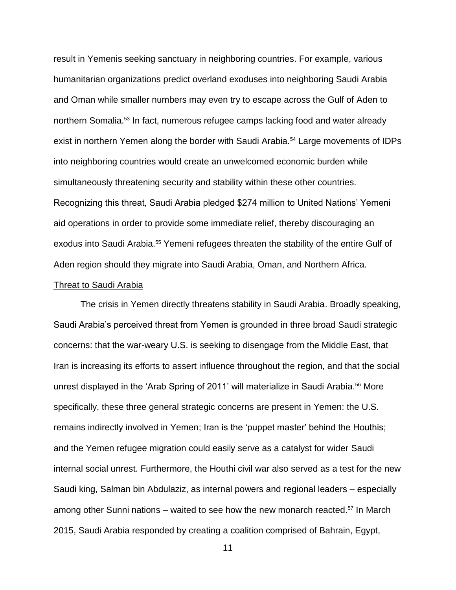result in Yemenis seeking sanctuary in neighboring countries. For example, various humanitarian organizations predict overland exoduses into neighboring Saudi Arabia and Oman while smaller numbers may even try to escape across the Gulf of Aden to northern Somalia.<sup>53</sup> In fact, numerous refugee camps lacking food and water already exist in northern Yemen along the border with Saudi Arabia.<sup>54</sup> Large movements of IDPs into neighboring countries would create an unwelcomed economic burden while simultaneously threatening security and stability within these other countries. Recognizing this threat, Saudi Arabia pledged \$274 million to United Nations' Yemeni aid operations in order to provide some immediate relief, thereby discouraging an exodus into Saudi Arabia.<sup>55</sup> Yemeni refugees threaten the stability of the entire Gulf of Aden region should they migrate into Saudi Arabia, Oman, and Northern Africa.

### Threat to Saudi Arabia

The crisis in Yemen directly threatens stability in Saudi Arabia. Broadly speaking, Saudi Arabia's perceived threat from Yemen is grounded in three broad Saudi strategic concerns: that the war-weary U.S. is seeking to disengage from the Middle East, that Iran is increasing its efforts to assert influence throughout the region, and that the social unrest displayed in the 'Arab Spring of 2011' will materialize in Saudi Arabia.<sup>56</sup> More specifically, these three general strategic concerns are present in Yemen: the U.S. remains indirectly involved in Yemen; Iran is the 'puppet master' behind the Houthis; and the Yemen refugee migration could easily serve as a catalyst for wider Saudi internal social unrest. Furthermore, the Houthi civil war also served as a test for the new Saudi king, Salman bin Abdulaziz, as internal powers and regional leaders – especially among other Sunni nations – waited to see how the new monarch reacted. <sup>57</sup> In March 2015, Saudi Arabia responded by creating a coalition comprised of Bahrain, Egypt,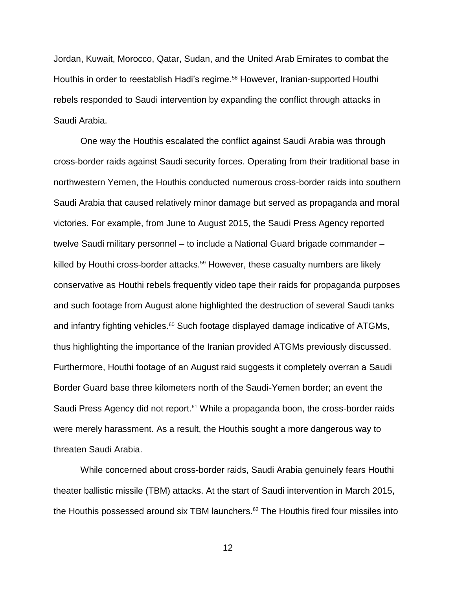Jordan, Kuwait, Morocco, Qatar, Sudan, and the United Arab Emirates to combat the Houthis in order to reestablish Hadi's regime. <sup>58</sup> However, Iranian-supported Houthi rebels responded to Saudi intervention by expanding the conflict through attacks in Saudi Arabia.

One way the Houthis escalated the conflict against Saudi Arabia was through cross-border raids against Saudi security forces. Operating from their traditional base in northwestern Yemen, the Houthis conducted numerous cross-border raids into southern Saudi Arabia that caused relatively minor damage but served as propaganda and moral victories. For example, from June to August 2015, the Saudi Press Agency reported twelve Saudi military personnel – to include a National Guard brigade commander – killed by Houthi cross-border attacks.<sup>59</sup> However, these casualty numbers are likely conservative as Houthi rebels frequently video tape their raids for propaganda purposes and such footage from August alone highlighted the destruction of several Saudi tanks and infantry fighting vehicles.<sup>60</sup> Such footage displayed damage indicative of ATGMs, thus highlighting the importance of the Iranian provided ATGMs previously discussed. Furthermore, Houthi footage of an August raid suggests it completely overran a Saudi Border Guard base three kilometers north of the Saudi-Yemen border; an event the Saudi Press Agency did not report.<sup>61</sup> While a propaganda boon, the cross-border raids were merely harassment. As a result, the Houthis sought a more dangerous way to threaten Saudi Arabia.

While concerned about cross-border raids, Saudi Arabia genuinely fears Houthi theater ballistic missile (TBM) attacks. At the start of Saudi intervention in March 2015, the Houthis possessed around six TBM launchers.<sup>62</sup> The Houthis fired four missiles into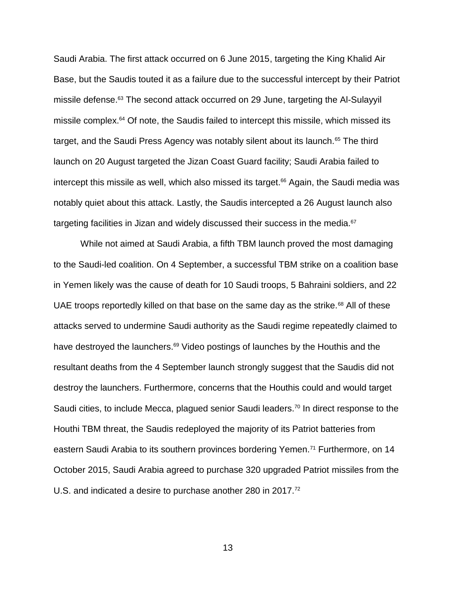Saudi Arabia. The first attack occurred on 6 June 2015, targeting the King Khalid Air Base, but the Saudis touted it as a failure due to the successful intercept by their Patriot missile defense.<sup>63</sup> The second attack occurred on 29 June, targeting the Al-Sulayyil missile complex.<sup>64</sup> Of note, the Saudis failed to intercept this missile, which missed its target, and the Saudi Press Agency was notably silent about its launch.<sup>65</sup> The third launch on 20 August targeted the Jizan Coast Guard facility; Saudi Arabia failed to intercept this missile as well, which also missed its target. <sup>66</sup> Again, the Saudi media was notably quiet about this attack. Lastly, the Saudis intercepted a 26 August launch also targeting facilities in Jizan and widely discussed their success in the media.<sup>67</sup>

While not aimed at Saudi Arabia, a fifth TBM launch proved the most damaging to the Saudi-led coalition. On 4 September, a successful TBM strike on a coalition base in Yemen likely was the cause of death for 10 Saudi troops, 5 Bahraini soldiers, and 22 UAE troops reportedly killed on that base on the same day as the strike.<sup>68</sup> All of these attacks served to undermine Saudi authority as the Saudi regime repeatedly claimed to have destroyed the launchers.<sup>69</sup> Video postings of launches by the Houthis and the resultant deaths from the 4 September launch strongly suggest that the Saudis did not destroy the launchers. Furthermore, concerns that the Houthis could and would target Saudi cities, to include Mecca, plagued senior Saudi leaders.<sup>70</sup> In direct response to the Houthi TBM threat, the Saudis redeployed the majority of its Patriot batteries from eastern Saudi Arabia to its southern provinces bordering Yemen.<sup>71</sup> Furthermore, on 14 October 2015, Saudi Arabia agreed to purchase 320 upgraded Patriot missiles from the U.S. and indicated a desire to purchase another 280 in 2017.<sup>72</sup>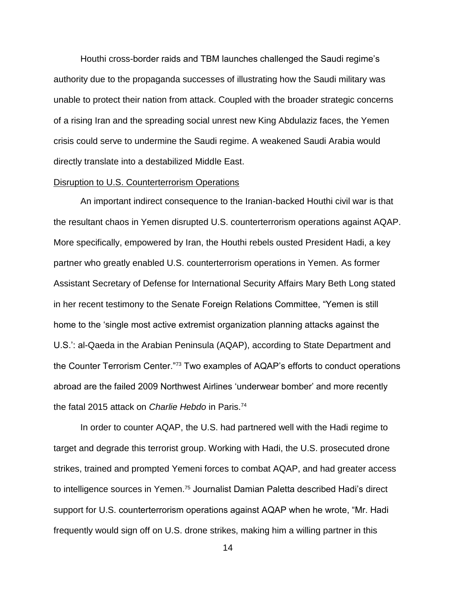Houthi cross-border raids and TBM launches challenged the Saudi regime's authority due to the propaganda successes of illustrating how the Saudi military was unable to protect their nation from attack. Coupled with the broader strategic concerns of a rising Iran and the spreading social unrest new King Abdulaziz faces, the Yemen crisis could serve to undermine the Saudi regime. A weakened Saudi Arabia would directly translate into a destabilized Middle East.

### Disruption to U.S. Counterterrorism Operations

An important indirect consequence to the Iranian-backed Houthi civil war is that the resultant chaos in Yemen disrupted U.S. counterterrorism operations against AQAP. More specifically, empowered by Iran, the Houthi rebels ousted President Hadi, a key partner who greatly enabled U.S. counterterrorism operations in Yemen. As former Assistant Secretary of Defense for International Security Affairs Mary Beth Long stated in her recent testimony to the Senate Foreign Relations Committee, "Yemen is still home to the 'single most active extremist organization planning attacks against the U.S.': al-Qaeda in the Arabian Peninsula (AQAP), according to State Department and the Counter Terrorism Center."<sup>73</sup> Two examples of AQAP's efforts to conduct operations abroad are the failed 2009 Northwest Airlines 'underwear bomber' and more recently the fatal 2015 attack on *Charlie Hebdo* in Paris.<sup>74</sup>

In order to counter AQAP, the U.S. had partnered well with the Hadi regime to target and degrade this terrorist group. Working with Hadi, the U.S. prosecuted drone strikes, trained and prompted Yemeni forces to combat AQAP, and had greater access to intelligence sources in Yemen.<sup>75</sup> Journalist Damian Paletta described Hadi's direct support for U.S. counterterrorism operations against AQAP when he wrote, "Mr. Hadi frequently would sign off on U.S. drone strikes, making him a willing partner in this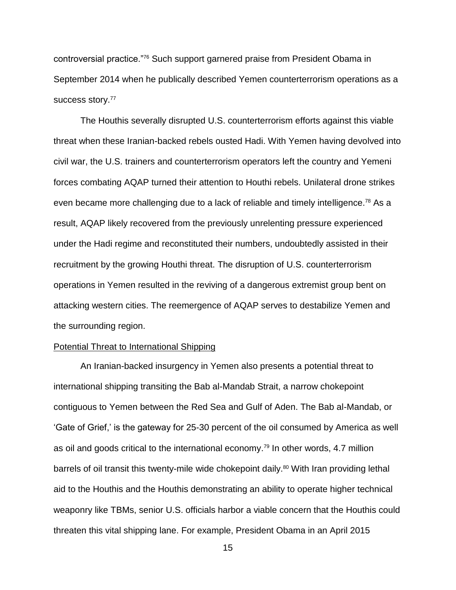controversial practice."<sup>76</sup> Such support garnered praise from President Obama in September 2014 when he publically described Yemen counterterrorism operations as a success story.<sup>77</sup>

The Houthis severally disrupted U.S. counterterrorism efforts against this viable threat when these Iranian-backed rebels ousted Hadi. With Yemen having devolved into civil war, the U.S. trainers and counterterrorism operators left the country and Yemeni forces combating AQAP turned their attention to Houthi rebels. Unilateral drone strikes even became more challenging due to a lack of reliable and timely intelligence.<sup>78</sup> As a result, AQAP likely recovered from the previously unrelenting pressure experienced under the Hadi regime and reconstituted their numbers, undoubtedly assisted in their recruitment by the growing Houthi threat. The disruption of U.S. counterterrorism operations in Yemen resulted in the reviving of a dangerous extremist group bent on attacking western cities. The reemergence of AQAP serves to destabilize Yemen and the surrounding region.

### Potential Threat to International Shipping

An Iranian-backed insurgency in Yemen also presents a potential threat to international shipping transiting the Bab al-Mandab Strait, a narrow chokepoint contiguous to Yemen between the Red Sea and Gulf of Aden. The Bab al-Mandab, or 'Gate of Grief,' is the gateway for 25-30 percent of the oil consumed by America as well as oil and goods critical to the international economy. <sup>79</sup> In other words, 4.7 million barrels of oil transit this twenty-mile wide chokepoint daily.<sup>80</sup> With Iran providing lethal aid to the Houthis and the Houthis demonstrating an ability to operate higher technical weaponry like TBMs, senior U.S. officials harbor a viable concern that the Houthis could threaten this vital shipping lane. For example, President Obama in an April 2015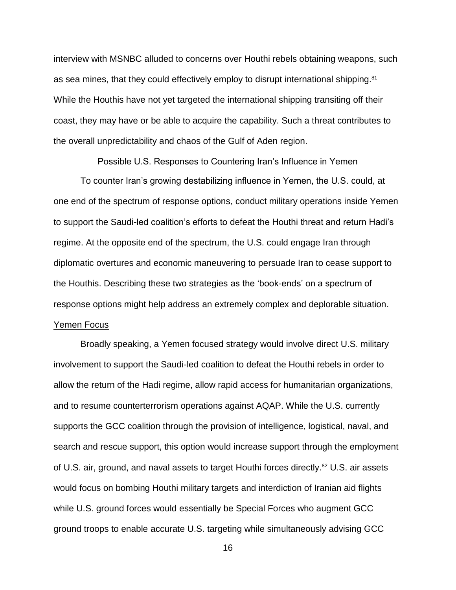interview with MSNBC alluded to concerns over Houthi rebels obtaining weapons, such as sea mines, that they could effectively employ to disrupt international shipping.<sup>81</sup> While the Houthis have not yet targeted the international shipping transiting off their coast, they may have or be able to acquire the capability. Such a threat contributes to the overall unpredictability and chaos of the Gulf of Aden region.

Possible U.S. Responses to Countering Iran's Influence in Yemen To counter Iran's growing destabilizing influence in Yemen, the U.S. could, at one end of the spectrum of response options, conduct military operations inside Yemen to support the Saudi-led coalition's efforts to defeat the Houthi threat and return Hadi's regime. At the opposite end of the spectrum, the U.S. could engage Iran through diplomatic overtures and economic maneuvering to persuade Iran to cease support to the Houthis. Describing these two strategies as the 'book-ends' on a spectrum of response options might help address an extremely complex and deplorable situation. Yemen Focus

Broadly speaking, a Yemen focused strategy would involve direct U.S. military involvement to support the Saudi-led coalition to defeat the Houthi rebels in order to allow the return of the Hadi regime, allow rapid access for humanitarian organizations, and to resume counterterrorism operations against AQAP. While the U.S. currently supports the GCC coalition through the provision of intelligence, logistical, naval, and search and rescue support, this option would increase support through the employment of U.S. air, ground, and naval assets to target Houthi forces directly. <sup>82</sup> U.S. air assets would focus on bombing Houthi military targets and interdiction of Iranian aid flights while U.S. ground forces would essentially be Special Forces who augment GCC ground troops to enable accurate U.S. targeting while simultaneously advising GCC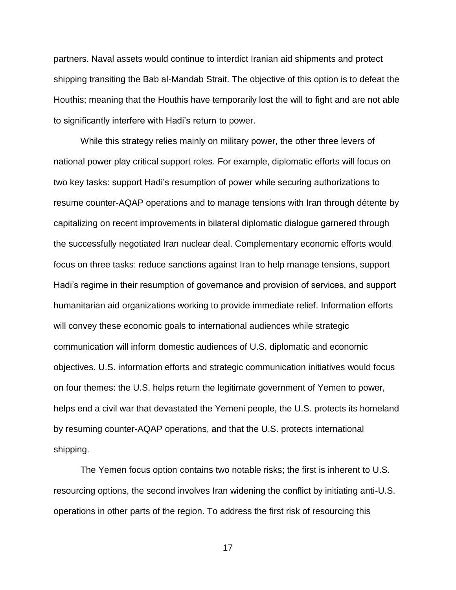partners. Naval assets would continue to interdict Iranian aid shipments and protect shipping transiting the Bab al-Mandab Strait. The objective of this option is to defeat the Houthis; meaning that the Houthis have temporarily lost the will to fight and are not able to significantly interfere with Hadi's return to power.

While this strategy relies mainly on military power, the other three levers of national power play critical support roles. For example, diplomatic efforts will focus on two key tasks: support Hadi's resumption of power while securing authorizations to resume counter-AQAP operations and to manage tensions with Iran through détente by capitalizing on recent improvements in bilateral diplomatic dialogue garnered through the successfully negotiated Iran nuclear deal. Complementary economic efforts would focus on three tasks: reduce sanctions against Iran to help manage tensions, support Hadi's regime in their resumption of governance and provision of services, and support humanitarian aid organizations working to provide immediate relief. Information efforts will convey these economic goals to international audiences while strategic communication will inform domestic audiences of U.S. diplomatic and economic objectives. U.S. information efforts and strategic communication initiatives would focus on four themes: the U.S. helps return the legitimate government of Yemen to power, helps end a civil war that devastated the Yemeni people, the U.S. protects its homeland by resuming counter-AQAP operations, and that the U.S. protects international shipping.

The Yemen focus option contains two notable risks; the first is inherent to U.S. resourcing options, the second involves Iran widening the conflict by initiating anti-U.S. operations in other parts of the region. To address the first risk of resourcing this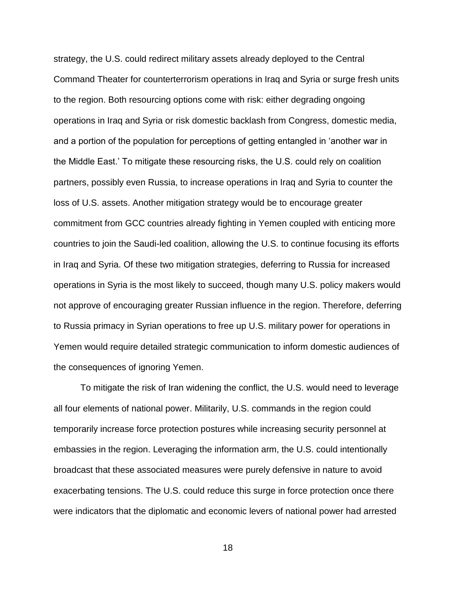strategy, the U.S. could redirect military assets already deployed to the Central Command Theater for counterterrorism operations in Iraq and Syria or surge fresh units to the region. Both resourcing options come with risk: either degrading ongoing operations in Iraq and Syria or risk domestic backlash from Congress, domestic media, and a portion of the population for perceptions of getting entangled in 'another war in the Middle East.' To mitigate these resourcing risks, the U.S. could rely on coalition partners, possibly even Russia, to increase operations in Iraq and Syria to counter the loss of U.S. assets. Another mitigation strategy would be to encourage greater commitment from GCC countries already fighting in Yemen coupled with enticing more countries to join the Saudi-led coalition, allowing the U.S. to continue focusing its efforts in Iraq and Syria. Of these two mitigation strategies, deferring to Russia for increased operations in Syria is the most likely to succeed, though many U.S. policy makers would not approve of encouraging greater Russian influence in the region. Therefore, deferring to Russia primacy in Syrian operations to free up U.S. military power for operations in Yemen would require detailed strategic communication to inform domestic audiences of the consequences of ignoring Yemen.

To mitigate the risk of Iran widening the conflict, the U.S. would need to leverage all four elements of national power. Militarily, U.S. commands in the region could temporarily increase force protection postures while increasing security personnel at embassies in the region. Leveraging the information arm, the U.S. could intentionally broadcast that these associated measures were purely defensive in nature to avoid exacerbating tensions. The U.S. could reduce this surge in force protection once there were indicators that the diplomatic and economic levers of national power had arrested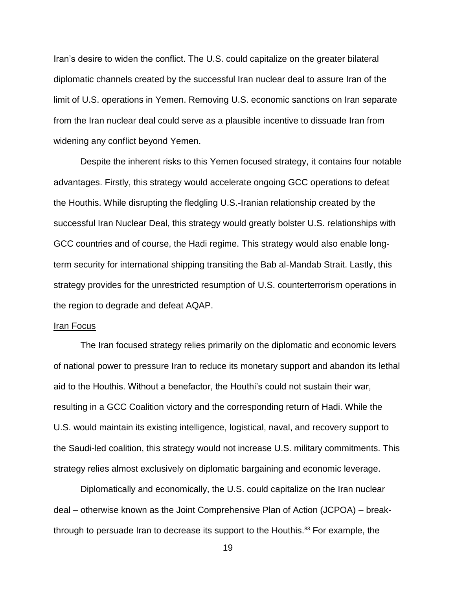Iran's desire to widen the conflict. The U.S. could capitalize on the greater bilateral diplomatic channels created by the successful Iran nuclear deal to assure Iran of the limit of U.S. operations in Yemen. Removing U.S. economic sanctions on Iran separate from the Iran nuclear deal could serve as a plausible incentive to dissuade Iran from widening any conflict beyond Yemen.

Despite the inherent risks to this Yemen focused strategy, it contains four notable advantages. Firstly, this strategy would accelerate ongoing GCC operations to defeat the Houthis. While disrupting the fledgling U.S.-Iranian relationship created by the successful Iran Nuclear Deal, this strategy would greatly bolster U.S. relationships with GCC countries and of course, the Hadi regime. This strategy would also enable longterm security for international shipping transiting the Bab al-Mandab Strait. Lastly, this strategy provides for the unrestricted resumption of U.S. counterterrorism operations in the region to degrade and defeat AQAP.

### Iran Focus

The Iran focused strategy relies primarily on the diplomatic and economic levers of national power to pressure Iran to reduce its monetary support and abandon its lethal aid to the Houthis. Without a benefactor, the Houthi's could not sustain their war, resulting in a GCC Coalition victory and the corresponding return of Hadi. While the U.S. would maintain its existing intelligence, logistical, naval, and recovery support to the Saudi-led coalition, this strategy would not increase U.S. military commitments. This strategy relies almost exclusively on diplomatic bargaining and economic leverage.

Diplomatically and economically, the U.S. could capitalize on the Iran nuclear deal – otherwise known as the Joint Comprehensive Plan of Action (JCPOA) – breakthrough to persuade Iran to decrease its support to the Houthis.<sup>83</sup> For example, the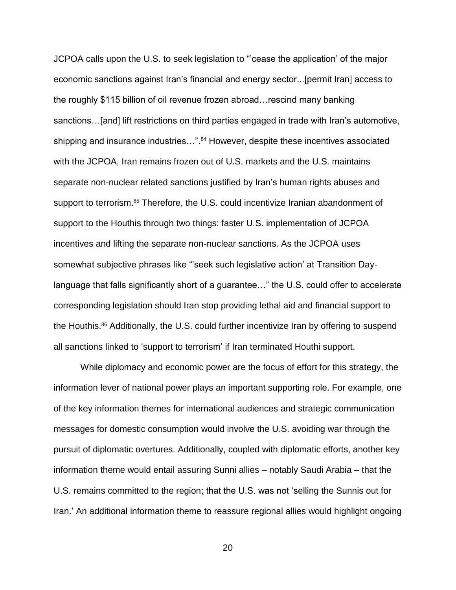JCPOA calls upon the U.S. to seek legislation to "'cease the application' of the major economic sanctions against Iran's financial and energy sector...[permit Iran] access to the roughly \$115 billion of oil revenue frozen abroad…rescind many banking sanctions…[and] lift restrictions on third parties engaged in trade with Iran's automotive, shipping and insurance industries...".<sup>84</sup> However, despite these incentives associated with the JCPOA, Iran remains frozen out of U.S. markets and the U.S. maintains separate non-nuclear related sanctions justified by Iran's human rights abuses and support to terrorism.<sup>85</sup> Therefore, the U.S. could incentivize Iranian abandonment of support to the Houthis through two things: faster U.S. implementation of JCPOA incentives and lifting the separate non-nuclear sanctions. As the JCPOA uses somewhat subjective phrases like "'seek such legislative action' at Transition Daylanguage that falls significantly short of a guarantee…" the U.S. could offer to accelerate corresponding legislation should Iran stop providing lethal aid and financial support to the Houthis.<sup>86</sup> Additionally, the U.S. could further incentivize Iran by offering to suspend all sanctions linked to 'support to terrorism' if Iran terminated Houthi support.

While diplomacy and economic power are the focus of effort for this strategy, the information lever of national power plays an important supporting role. For example, one of the key information themes for international audiences and strategic communication messages for domestic consumption would involve the U.S. avoiding war through the pursuit of diplomatic overtures. Additionally, coupled with diplomatic efforts, another key information theme would entail assuring Sunni allies – notably Saudi Arabia – that the U.S. remains committed to the region; that the U.S. was not 'selling the Sunnis out for Iran.' An additional information theme to reassure regional allies would highlight ongoing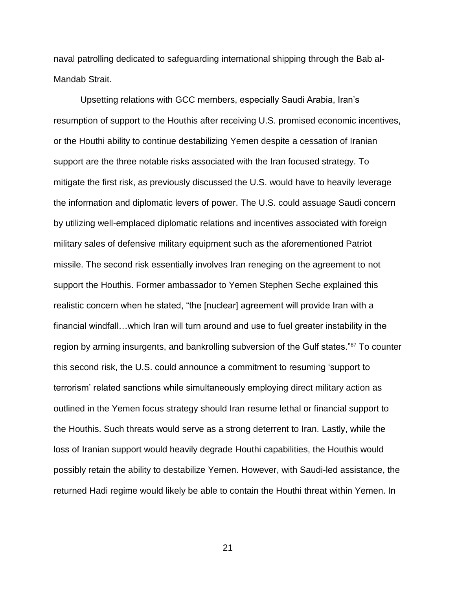naval patrolling dedicated to safeguarding international shipping through the Bab al-Mandab Strait.

Upsetting relations with GCC members, especially Saudi Arabia, Iran's resumption of support to the Houthis after receiving U.S. promised economic incentives, or the Houthi ability to continue destabilizing Yemen despite a cessation of Iranian support are the three notable risks associated with the Iran focused strategy. To mitigate the first risk, as previously discussed the U.S. would have to heavily leverage the information and diplomatic levers of power. The U.S. could assuage Saudi concern by utilizing well-emplaced diplomatic relations and incentives associated with foreign military sales of defensive military equipment such as the aforementioned Patriot missile. The second risk essentially involves Iran reneging on the agreement to not support the Houthis. Former ambassador to Yemen Stephen Seche explained this realistic concern when he stated, "the [nuclear] agreement will provide Iran with a financial windfall…which Iran will turn around and use to fuel greater instability in the region by arming insurgents, and bankrolling subversion of the Gulf states."<sup>87</sup> To counter this second risk, the U.S. could announce a commitment to resuming 'support to terrorism' related sanctions while simultaneously employing direct military action as outlined in the Yemen focus strategy should Iran resume lethal or financial support to the Houthis. Such threats would serve as a strong deterrent to Iran. Lastly, while the loss of Iranian support would heavily degrade Houthi capabilities, the Houthis would possibly retain the ability to destabilize Yemen. However, with Saudi-led assistance, the returned Hadi regime would likely be able to contain the Houthi threat within Yemen. In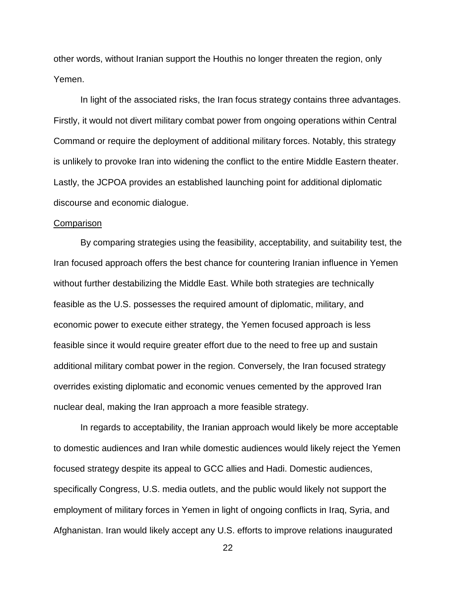other words, without Iranian support the Houthis no longer threaten the region, only Yemen.

In light of the associated risks, the Iran focus strategy contains three advantages. Firstly, it would not divert military combat power from ongoing operations within Central Command or require the deployment of additional military forces. Notably, this strategy is unlikely to provoke Iran into widening the conflict to the entire Middle Eastern theater. Lastly, the JCPOA provides an established launching point for additional diplomatic discourse and economic dialogue.

### **Comparison**

By comparing strategies using the feasibility, acceptability, and suitability test, the Iran focused approach offers the best chance for countering Iranian influence in Yemen without further destabilizing the Middle East. While both strategies are technically feasible as the U.S. possesses the required amount of diplomatic, military, and economic power to execute either strategy, the Yemen focused approach is less feasible since it would require greater effort due to the need to free up and sustain additional military combat power in the region. Conversely, the Iran focused strategy overrides existing diplomatic and economic venues cemented by the approved Iran nuclear deal, making the Iran approach a more feasible strategy.

In regards to acceptability, the Iranian approach would likely be more acceptable to domestic audiences and Iran while domestic audiences would likely reject the Yemen focused strategy despite its appeal to GCC allies and Hadi. Domestic audiences, specifically Congress, U.S. media outlets, and the public would likely not support the employment of military forces in Yemen in light of ongoing conflicts in Iraq, Syria, and Afghanistan. Iran would likely accept any U.S. efforts to improve relations inaugurated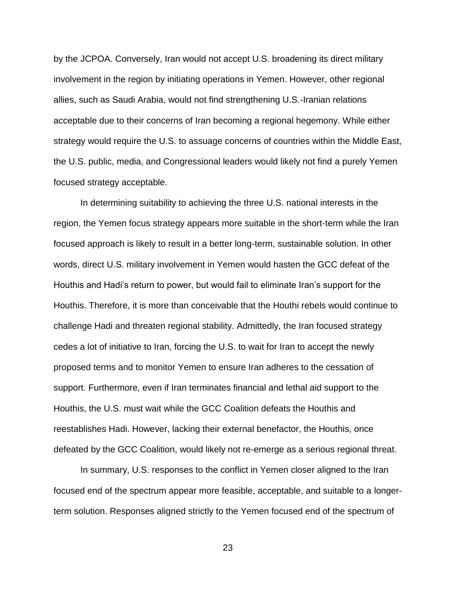by the JCPOA. Conversely, Iran would not accept U.S. broadening its direct military involvement in the region by initiating operations in Yemen. However, other regional allies, such as Saudi Arabia, would not find strengthening U.S.-Iranian relations acceptable due to their concerns of Iran becoming a regional hegemony. While either strategy would require the U.S. to assuage concerns of countries within the Middle East, the U.S. public, media, and Congressional leaders would likely not find a purely Yemen focused strategy acceptable.

In determining suitability to achieving the three U.S. national interests in the region, the Yemen focus strategy appears more suitable in the short-term while the Iran focused approach is likely to result in a better long-term, sustainable solution. In other words, direct U.S. military involvement in Yemen would hasten the GCC defeat of the Houthis and Hadi's return to power, but would fail to eliminate Iran's support for the Houthis. Therefore, it is more than conceivable that the Houthi rebels would continue to challenge Hadi and threaten regional stability. Admittedly, the Iran focused strategy cedes a lot of initiative to Iran, forcing the U.S. to wait for Iran to accept the newly proposed terms and to monitor Yemen to ensure Iran adheres to the cessation of support. Furthermore, even if Iran terminates financial and lethal aid support to the Houthis, the U.S. must wait while the GCC Coalition defeats the Houthis and reestablishes Hadi. However, lacking their external benefactor, the Houthis, once defeated by the GCC Coalition, would likely not re-emerge as a serious regional threat.

In summary, U.S. responses to the conflict in Yemen closer aligned to the Iran focused end of the spectrum appear more feasible, acceptable, and suitable to a longerterm solution. Responses aligned strictly to the Yemen focused end of the spectrum of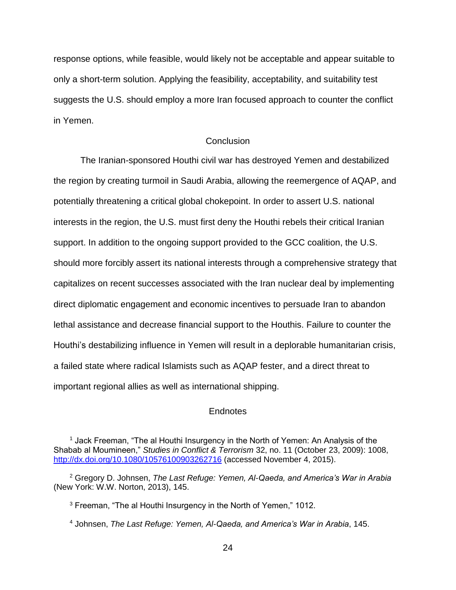response options, while feasible, would likely not be acceptable and appear suitable to only a short-term solution. Applying the feasibility, acceptability, and suitability test suggests the U.S. should employ a more Iran focused approach to counter the conflict in Yemen.

# **Conclusion**

The Iranian-sponsored Houthi civil war has destroyed Yemen and destabilized the region by creating turmoil in Saudi Arabia, allowing the reemergence of AQAP, and potentially threatening a critical global chokepoint. In order to assert U.S. national interests in the region, the U.S. must first deny the Houthi rebels their critical Iranian support. In addition to the ongoing support provided to the GCC coalition, the U.S. should more forcibly assert its national interests through a comprehensive strategy that capitalizes on recent successes associated with the Iran nuclear deal by implementing direct diplomatic engagement and economic incentives to persuade Iran to abandon lethal assistance and decrease financial support to the Houthis. Failure to counter the Houthi's destabilizing influence in Yemen will result in a deplorable humanitarian crisis, a failed state where radical Islamists such as AQAP fester, and a direct threat to important regional allies as well as international shipping.

## Endnotes

<sup>4</sup> Johnsen, *The Last Refuge: Yemen, Al-Qaeda, and America's War in Arabia*, 145.

<sup>&</sup>lt;sup>1</sup> Jack Freeman, "The al Houthi Insurgency in the North of Yemen: An Analysis of the Shabab al Moumineen," *Studies in Conflict & Terrorism* 32, no. 11 (October 23, 2009): 1008, <http://dx.doi.org/10.1080/10576100903262716> (accessed November 4, 2015).

<sup>2</sup> Gregory D. Johnsen, *The Last Refuge: Yemen, Al-Qaeda, and America's War in Arabia* (New York: W.W. Norton, 2013), 145.

<sup>3</sup> Freeman, "The al Houthi Insurgency in the North of Yemen," 1012.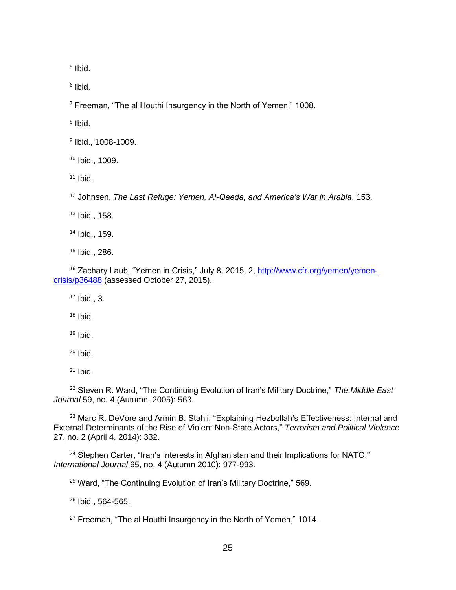Ibid.

<sup>6</sup> Ibid.

Freeman, "The al Houthi Insurgency in the North of Yemen," 1008.

<sup>8</sup> Ibid.

Ibid., 1008-1009.

Ibid., 1009.

Ibid.

Johnsen, *The Last Refuge: Yemen, Al-Qaeda, and America's War in Arabia*, 153.

Ibid., 158.

Ibid., 159.

Ibid., 286.

 Zachary Laub, "Yemen in Crisis," July 8, 2015, 2, [http://www.cfr.org/yemen/yemen](http://www.cfr.org/yemen/yemen-crisis/p36488)[crisis/p36488](http://www.cfr.org/yemen/yemen-crisis/p36488) (assessed October 27, 2015).

Ibid., 3.

Ibid.

Ibid.

Ibid.

Ibid.

 Steven R. Ward, "The Continuing Evolution of Iran's Military Doctrine," *The Middle East Journal* 59, no. 4 (Autumn, 2005): 563.

<sup>23</sup> Marc R. DeVore and Armin B. Stahli, "Explaining Hezbollah's Effectiveness: Internal and External Determinants of the Rise of Violent Non-State Actors," *Terrorism and Political Violence* 27, no. 2 (April 4, 2014): 332.

<sup>24</sup> Stephen Carter, "Iran's Interests in Afghanistan and their Implications for NATO," *International Journal* 65, no. 4 (Autumn 2010): 977-993.

<sup>25</sup> Ward, "The Continuing Evolution of Iran's Military Doctrine," 569.

Ibid., 564-565.

Freeman, "The al Houthi Insurgency in the North of Yemen," 1014.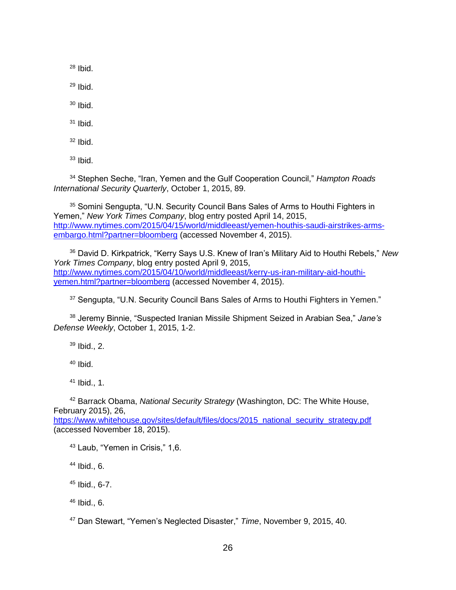$28$  Ibid.

 $29$  Ibid.

 $30$  Ibid.

 $31$  Ibid.

 $32$  Ibid.

 $33$  Ibid.

<sup>34</sup> Stephen Seche, "Iran, Yemen and the Gulf Cooperation Council," *Hampton Roads International Security Quarterly*, October 1, 2015, 89.

<sup>35</sup> Somini Sengupta, "U.N. Security Council Bans Sales of Arms to Houthi Fighters in Yemen," *New York Times Company*, blog entry posted April 14, 2015, [http://www.nytimes.com/2015/04/15/world/middleeast/yemen-houthis-saudi-airstrikes-arms](http://www.nytimes.com/2015/04/15/world/middleeast/yemen-houthis-saudi-airstrikes-arms-embargo.html?partner=bloomberg)[embargo.html?partner=bloomberg](http://www.nytimes.com/2015/04/15/world/middleeast/yemen-houthis-saudi-airstrikes-arms-embargo.html?partner=bloomberg) (accessed November 4, 2015).

<sup>36</sup> David D. Kirkpatrick, "Kerry Says U.S. Knew of Iran's Military Aid to Houthi Rebels," *New York Times Company*, blog entry posted April 9, 2015, [http://www.nytimes.com/2015/04/10/world/middleeast/kerry-us-iran-military-aid-houthi](http://www.nytimes.com/2015/04/10/world/middleeast/kerry-us-iran-military-aid-houthi-yemen.html?partner=bloomberg)[yemen.html?partner=bloomberg](http://www.nytimes.com/2015/04/10/world/middleeast/kerry-us-iran-military-aid-houthi-yemen.html?partner=bloomberg) (accessed November 4, 2015).

<sup>37</sup> Sengupta, "U.N. Security Council Bans Sales of Arms to Houthi Fighters in Yemen."

<sup>38</sup> Jeremy Binnie, "Suspected Iranian Missile Shipment Seized in Arabian Sea," *Jane's Defense Weekly*, October 1, 2015, 1-2.

<sup>39</sup> Ibid., 2.

 $40$  Ibid.

<sup>41</sup> Ibid., 1.

<sup>42</sup> Barrack Obama, *National Security Strategy* (Washington, DC: The White House, February 2015), 26,

[https://www.whitehouse.gov/sites/default/files/docs/2015\\_national\\_security\\_strategy.pdf](https://www.whitehouse.gov/sites/default/files/docs/2015_national_security_strategy.pdf) (accessed November 18, 2015).

<sup>43</sup> Laub, "Yemen in Crisis," 1,6.

 $44$  Ibid., 6.

<sup>45</sup> Ibid., 6-7.

 $46$  Ibid., 6.

<sup>47</sup> Dan Stewart, "Yemen's Neglected Disaster," *Time*, November 9, 2015, 40.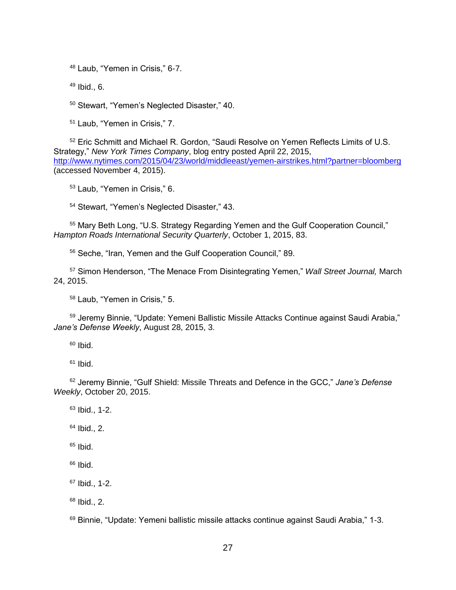Laub, "Yemen in Crisis," 6-7.

Ibid., 6.

Stewart, "Yemen's Neglected Disaster," 40.

Laub, "Yemen in Crisis," 7.

 Eric Schmitt and Michael R. Gordon, "Saudi Resolve on Yemen Reflects Limits of U.S. Strategy," *New York Times Company*, blog entry posted April 22, 2015, <http://www.nytimes.com/2015/04/23/world/middleeast/yemen-airstrikes.html?partner=bloomberg> (accessed November 4, 2015).

Laub, "Yemen in Crisis," 6.

Stewart, "Yemen's Neglected Disaster," 43.

 Mary Beth Long, "U.S. Strategy Regarding Yemen and the Gulf Cooperation Council," *Hampton Roads International Security Quarterly*, October 1, 2015, 83.

Seche, "Iran, Yemen and the Gulf Cooperation Council," 89.

 Simon Henderson, "The Menace From Disintegrating Yemen," *Wall Street Journal,* March 24, 2015.

Laub, "Yemen in Crisis," 5.

59 Jeremy Binnie, "Update: Yemeni Ballistic Missile Attacks Continue against Saudi Arabia," *Jane's Defense Weekly*, August 28, 2015, 3.

Ibid.

Ibid.

 Jeremy Binnie, "Gulf Shield: Missile Threats and Defence in the GCC," *Jane's Defense Weekly*, October 20, 2015.

 Ibid., 1-2. Ibid., 2.

Ibid.

Ibid.

Ibid., 1-2.

Ibid., 2.

<sup>69</sup> Binnie, "Update: Yemeni ballistic missile attacks continue against Saudi Arabia," 1-3.